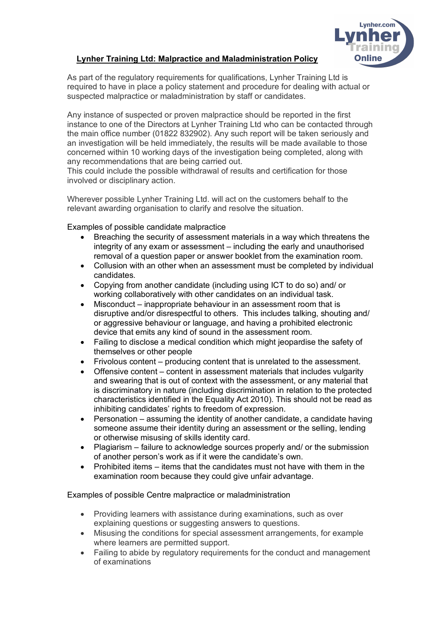

## **Lynher Training Ltd: Malpractice and Maladministration Policy**

As part of the regulatory requirements for qualifications, Lynher Training Ltd is required to have in place a policy statement and procedure for dealing with actual or suspected malpractice or maladministration by staff or candidates.

Any instance of suspected or proven malpractice should be reported in the first instance to one of the Directors at Lynher Training Ltd who can be contacted through the main office number (01822 832902). Any such report will be taken seriously and an investigation will be held immediately, the results will be made available to those concerned within 10 working days of the investigation being completed, along with any recommendations that are being carried out.

This could include the possible withdrawal of results and certification for those involved or disciplinary action.

Wherever possible Lynher Training Ltd. will act on the customers behalf to the relevant awarding organisation to clarify and resolve the situation.

Examples of possible candidate malpractice

- Breaching the security of assessment materials in a way which threatens the integrity of any exam or assessment – including the early and unauthorised removal of a question paper or answer booklet from the examination room.
- Collusion with an other when an assessment must be completed by individual candidates.
- Copying from another candidate (including using ICT to do so) and/ or working collaboratively with other candidates on an individual task.
- Misconduct inappropriate behaviour in an assessment room that is disruptive and/or disrespectful to others. This includes talking, shouting and/ or aggressive behaviour or language, and having a prohibited electronic device that emits any kind of sound in the assessment room.
- Failing to disclose a medical condition which might jeopardise the safety of themselves or other people
- Frivolous content producing content that is unrelated to the assessment.
- Offensive content content in assessment materials that includes vulgarity and swearing that is out of context with the assessment, or any material that is discriminatory in nature (including discrimination in relation to the protected characteristics identified in the Equality Act 2010). This should not be read as inhibiting candidates' rights to freedom of expression.
- Personation assuming the identity of another candidate, a candidate having someone assume their identity during an assessment or the selling, lending or otherwise misusing of skills identity card.
- Plagiarism failure to acknowledge sources properly and/ or the submission of another person's work as if it were the candidate's own.
- Prohibited items items that the candidates must not have with them in the examination room because they could give unfair advantage.

Examples of possible Centre malpractice or maladministration

- Providing learners with assistance during examinations, such as over explaining questions or suggesting answers to questions.
- Misusing the conditions for special assessment arrangements, for example where learners are permitted support.
- Failing to abide by regulatory requirements for the conduct and management of examinations